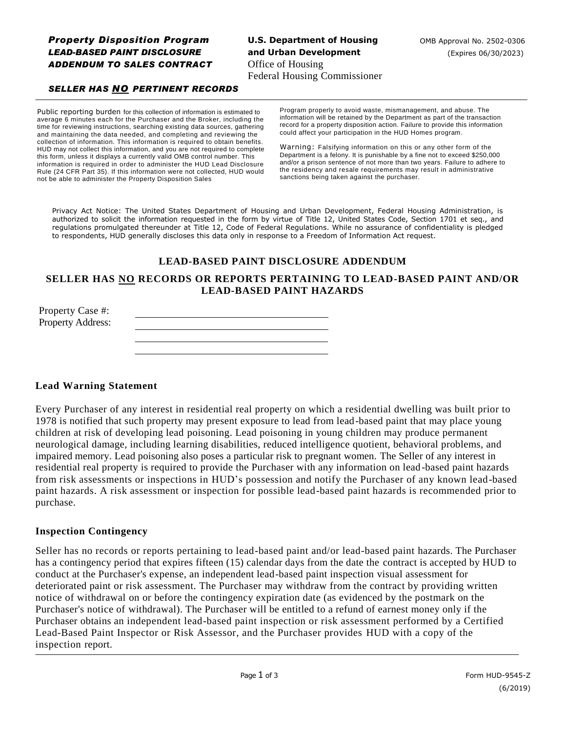### **Property Disposition Program M.S. Department of Housing MRIP Approval No. 2502-0306** *LEAD-BASED PAINT DISCLOSURE* **and Urban Development** (Expires 06/30/2023) **ADDENDUM TO SALES CONTRACT** Office of Housing

Federal Housing Commissioner

#### *SELLER HAS NO PERTINENT RECORDS*

Public reporting burden for this collection of information is estimated to average 6 minutes each for the Purchaser and the Broker, including the time for reviewing instructions, searching existing data sources, gathering and maintaining the data needed, and completing and reviewing the collection of information. This information is required to obtain benefits. HUD may not collect this information, and you are not required to complete this form, unless it displays a currently valid OMB control number. This information is required in order to administer the HUD Lead Disclosure Rule (24 CFR Part 35). If this information were not collected, HUD would not be able to administer the Property Disposition Sales

Program properly to avoid waste, mismanagement, and abuse. The information will be retained by the Department as part of the transaction record for a property disposition action. Failure to provide this information could affect your participation in the HUD Homes program.

Warning: Falsifying information on this or any other form of the Department is a felony. It is punishable by a fine not to exceed \$250,000 and/or a prison sentence of not more than two years. Failure to adhere to the residency and resale requirements may result in administrative sanctions being taken against the purchaser.

Privacy Act Notice: The United States Department of Housing and Urban Development, Federal Housing Administration, is authorized to solicit the information requested in the form by virtue of Title 12, United States Code, Section 1701 et seq., and regulations promulgated thereunder at Title 12, Code of Federal Regulations. While no assurance of confidentiality is pledged to respondents, HUD generally discloses this data only in response to a Freedom of Information Act request.

#### **LEAD-BASED PAINT DISCLOSURE ADDENDUM**

### **SELLER HAS NO RECORDS OR REPORTS PERTAINING TO LEAD-BASED PAINT AND/OR LEAD-BASED PAINT HAZARDS**

| Property Case #:         |  |
|--------------------------|--|
| <b>Property Address:</b> |  |
|                          |  |
|                          |  |

### **Lead Warning Statement**

Every Purchaser of any interest in residential real property on which a residential dwelling was built prior to 1978 is notified that such property may present exposure to lead from lead-based paint that may place young children at risk of developing lead poisoning. Lead poisoning in young children may produce permanent neurological damage, including learning disabilities, reduced intelligence quotient, behavioral problems, and impaired memory. Lead poisoning also poses a particular risk to pregnant women. The Seller of any interest in residential real property is required to provide the Purchaser with any information on lead-based paint hazards from risk assessments or inspections in HUD's possession and notify the Purchaser of any known lead-based paint hazards. A risk assessment or inspection for possible lead-based paint hazards is recommended prior to purchase.

#### **Inspection Contingency**

Seller has no records or reports pertaining to lead-based paint and/or lead-based paint hazards. The Purchaser has a contingency period that expires fifteen (15) calendar days from the date the contract is accepted by HUD to conduct at the Purchaser's expense, an independent lead-based paint inspection visual assessment for deteriorated paint or risk assessment. The Purchaser may withdraw from the contract by providing written notice of withdrawal on or before the contingency expiration date (as evidenced by the postmark on the Purchaser's notice of withdrawal). The Purchaser will be entitled to a refund of earnest money only if the Purchaser obtains an independent lead-based paint inspection or risk assessment performed by a Certified Lead-Based Paint Inspector or Risk Assessor, and the Purchaser provides HUD with a copy of the inspection report.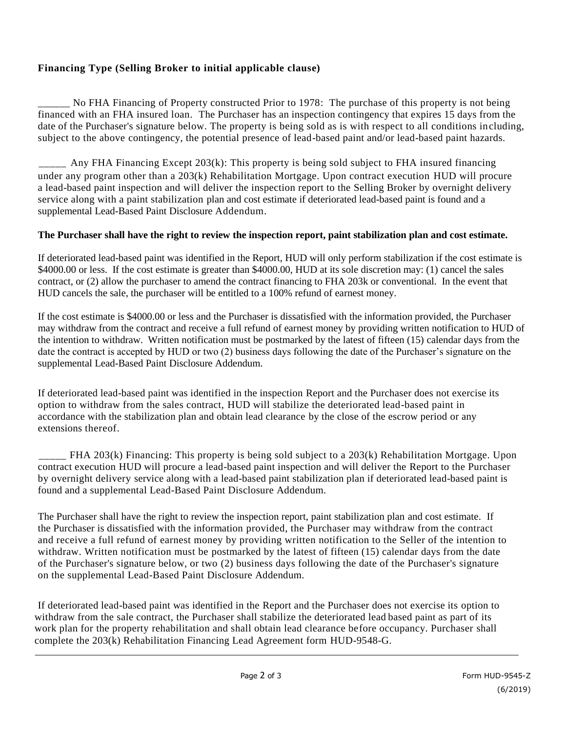# **Financing Type (Selling Broker to initial applicable clause)**

No FHA Financing of Property constructed Prior to 1978: The purchase of this property is not being financed with an FHA insured loan. The Purchaser has an inspection contingency that expires 15 days from the date of the Purchaser's signature below. The property is being sold as is with respect to all conditions including, subject to the above contingency, the potential presence of lead-based paint and/or lead-based paint hazards.

\_\_\_\_\_ Any FHA Financing Except 203(k): This property is being sold subject to FHA insured financing under any program other than a 203(k) Rehabilitation Mortgage. Upon contract execution HUD will procure a lead-based paint inspection and will deliver the inspection report to the Selling Broker by overnight delivery service along with a paint stabilization plan and cost estimate if deteriorated lead-based paint is found and a supplemental Lead-Based Paint Disclosure Addendum.

### **The Purchaser shall have the right to review the inspection report, paint stabilization plan and cost estimate.**

If deteriorated lead-based paint was identified in the Report, HUD will only perform stabilization if the cost estimate is \$4000.00 or less. If the cost estimate is greater than \$4000.00, HUD at its sole discretion may: (1) cancel the sales contract, or (2) allow the purchaser to amend the contract financing to FHA 203k or conventional. In the event that HUD cancels the sale, the purchaser will be entitled to a 100% refund of earnest money.

If the cost estimate is \$4000.00 or less and the Purchaser is dissatisfied with the information provided, the Purchaser may withdraw from the contract and receive a full refund of earnest money by providing written notification to HUD of the intention to withdraw. Written notification must be postmarked by the latest of fifteen (15) calendar days from the date the contract is accepted by HUD or two (2) business days following the date of the Purchaser's signature on the supplemental Lead-Based Paint Disclosure Addendum.

If deteriorated lead-based paint was identified in the inspection Report and the Purchaser does not exercise its option to withdraw from the sales contract, HUD will stabilize the deteriorated lead-based paint in accordance with the stabilization plan and obtain lead clearance by the close of the escrow period or any extensions thereof.

FHA 203(k) Financing: This property is being sold subject to a  $203(k)$  Rehabilitation Mortgage. Upon contract execution HUD will procure a lead-based paint inspection and will deliver the Report to the Purchaser by overnight delivery service along with a lead-based paint stabilization plan if deteriorated lead-based paint is found and a supplemental Lead-Based Paint Disclosure Addendum.

The Purchaser shall have the right to review the inspection report, paint stabilization plan and cost estimate. If the Purchaser is dissatisfied with the information provided, the Purchaser may withdraw from the contract and receive a full refund of earnest money by providing written notification to the Seller of the intention to withdraw. Written notification must be postmarked by the latest of fifteen (15) calendar days from the date of the Purchaser's signature below, or two (2) business days following the date of the Purchaser's signature on the supplemental Lead-Based Paint Disclosure Addendum.

If deteriorated lead-based paint was identified in the Report and the Purchaser does not exercise its option to withdraw from the sale contract, the Purchaser shall stabilize the deteriorated lead-based paint as part of its work plan for the property rehabilitation and shall obtain lead clearance before occupancy. Purchaser shall complete the 203(k) Rehabilitation Financing Lead Agreement form HUD-9548-G.